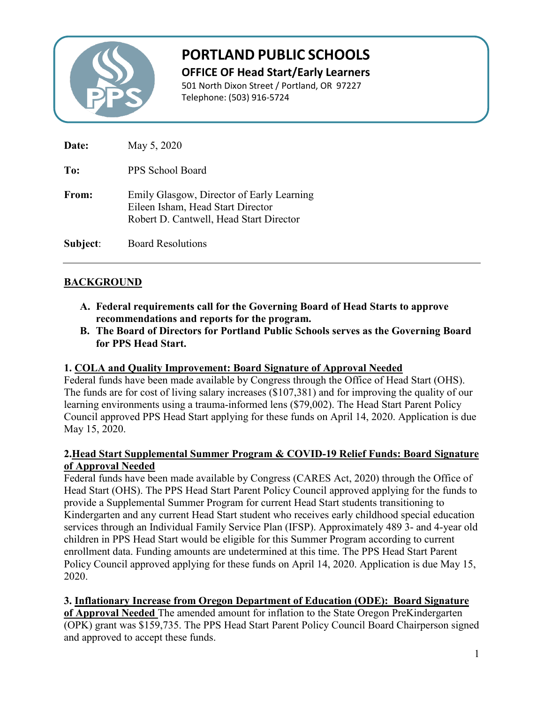

# **PORTLAND PUBLIC SCHOOLS**

**OFFICE OF Head Start/Early Learners**

501 North Dixon Street / Portland, OR 97227 Telephone: (503) 916-5724

| Date:        | May 5, 2020                                                                                                               |
|--------------|---------------------------------------------------------------------------------------------------------------------------|
| To:          | PPS School Board                                                                                                          |
| <b>From:</b> | Emily Glasgow, Director of Early Learning<br>Eileen Isham, Head Start Director<br>Robert D. Cantwell, Head Start Director |
| Subject:     | <b>Board Resolutions</b>                                                                                                  |

# **BACKGROUND**

- **A. Federal requirements call for the Governing Board of Head Starts to approve recommendations and reports for the program.**
- **B. The Board of Directors for Portland Public Schools serves as the Governing Board for PPS Head Start.**

#### **1. COLA and Quality Improvement: Board Signature of Approval Needed**

Federal funds have been made available by Congress through the Office of Head Start (OHS). The funds are for cost of living salary increases (\$107,381) and for improving the quality of our learning environments using a trauma-informed lens (\$79,002). The Head Start Parent Policy Council approved PPS Head Start applying for these funds on April 14, 2020. Application is due May 15, 2020.

#### **2.Head Start Supplemental Summer Program & COVID-19 Relief Funds: Board Signature of Approval Needed**

Federal funds have been made available by Congress (CARES Act, 2020) through the Office of Head Start (OHS). The PPS Head Start Parent Policy Council approved applying for the funds to provide a Supplemental Summer Program for current Head Start students transitioning to Kindergarten and any current Head Start student who receives early childhood special education services through an Individual Family Service Plan (IFSP). Approximately 489 3- and 4-year old children in PPS Head Start would be eligible for this Summer Program according to current enrollment data. Funding amounts are undetermined at this time. The PPS Head Start Parent Policy Council approved applying for these funds on April 14, 2020. Application is due May 15, 2020.

#### **3. Inflationary Increase from Oregon Department of Education (ODE): Board Signature**

**of Approval Needed** The amended amount for inflation to the State Oregon PreKindergarten (OPK) grant was \$159,735. The PPS Head Start Parent Policy Council Board Chairperson signed and approved to accept these funds.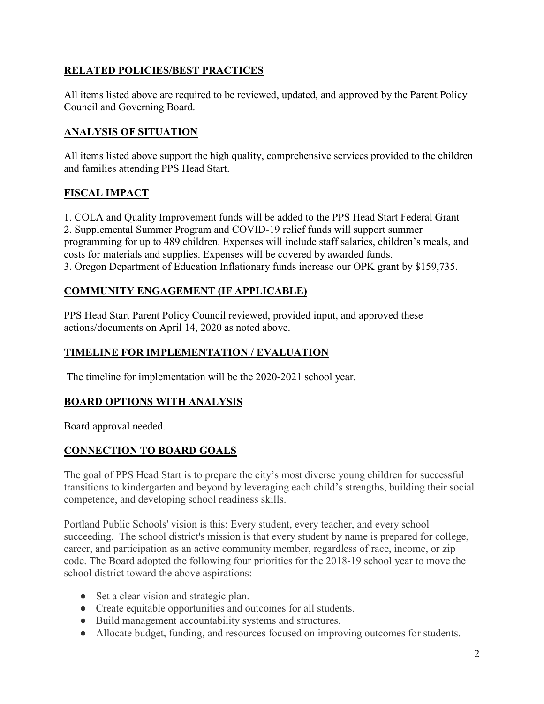## **RELATED POLICIES/BEST PRACTICES**

All items listed above are required to be reviewed, updated, and approved by the Parent Policy Council and Governing Board.

## **ANALYSIS OF SITUATION**

All items listed above support the high quality, comprehensive services provided to the children and families attending PPS Head Start.

## **FISCAL IMPACT**

1. COLA and Quality Improvement funds will be added to the PPS Head Start Federal Grant 2. Supplemental Summer Program and COVID-19 relief funds will support summer programming for up to 489 children. Expenses will include staff salaries, children's meals, and costs for materials and supplies. Expenses will be covered by awarded funds. 3. Oregon Department of Education Inflationary funds increase our OPK grant by \$159,735.

#### **COMMUNITY ENGAGEMENT (IF APPLICABLE)**

PPS Head Start Parent Policy Council reviewed, provided input, and approved these actions/documents on April 14, 2020 as noted above.

## **TIMELINE FOR IMPLEMENTATION / EVALUATION**

The timeline for implementation will be the 2020-2021 school year.

#### **BOARD OPTIONS WITH ANALYSIS**

Board approval needed.

## **CONNECTION TO BOARD GOALS**

The goal of PPS Head Start is to prepare the city's most diverse young children for successful transitions to kindergarten and beyond by leveraging each child's strengths, building their social competence, and developing school readiness skills.

Portland Public Schools' vision is this: Every student, every teacher, and every school succeeding. The school district's mission is that every student by name is prepared for college, career, and participation as an active community member, regardless of race, income, or zip code. The Board adopted the following four priorities for the 2018-19 school year to move the school district toward the above aspirations:

- Set a clear vision and strategic plan.
- Create equitable opportunities and outcomes for all students.
- Build management accountability systems and structures.
- Allocate budget, funding, and resources focused on improving outcomes for students.